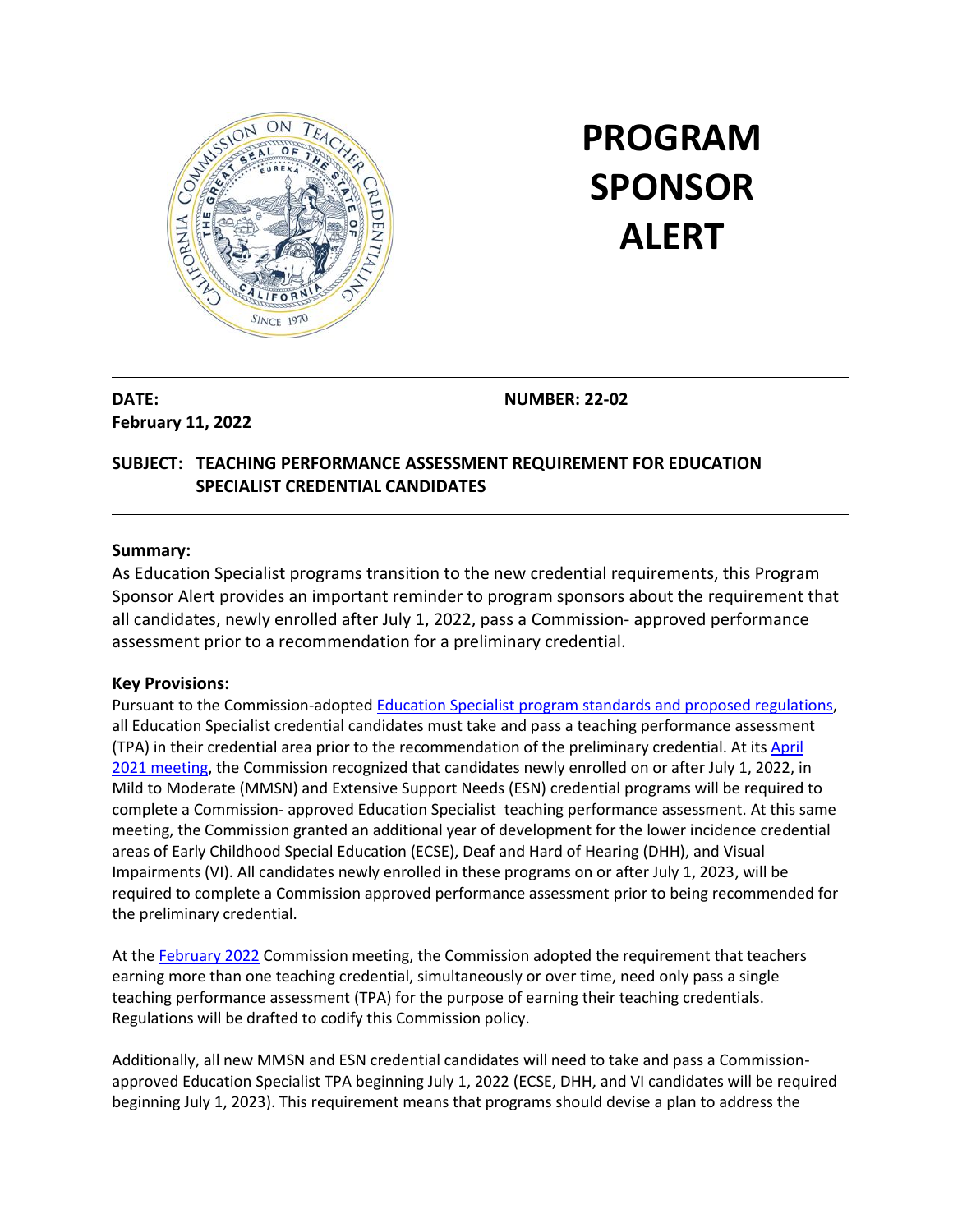

# **PROGRAM SPONSOR ALERT**

**DATE: February 11, 2022** **NUMBER: 22-02**

# **SUBJECT: TEACHING PERFORMANCE ASSESSMENT REQUIREMENT FOR EDUCATION SPECIALIST CREDENTIAL CANDIDATES**

#### **Summary:**

As Education Specialist programs transition to the new credential requirements, this Program Sponsor Alert provides an important reminder to program sponsors about the requirement that all candidates, newly enrolled after July 1, 2022, pass a Commission- approved performance assessment prior to a recommendation for a preliminary credential.

#### **Key Provisions:**

Pursuant to the Commission-adopted [Education Specialist program standards](https://www.ctc.ca.gov/docs/default-source/educator-prep/standards/education-specialist-standards-pdf.pdf?sfvrsn=729750b1_42) and proposed regulations, all Education Specialist credential candidates must take and pass a teaching performance assessment (TPA) in their credential area prior to the recommendation of the preliminary credential. At it[s April](https://www.ctc.ca.gov/docs/default-source/commission/agendas/2021-04/2021-04-4b.pdf?sfvrsn=b3382bb1_10)  [2021 meeting,](https://www.ctc.ca.gov/docs/default-source/commission/agendas/2021-04/2021-04-4b.pdf?sfvrsn=b3382bb1_10) the Commission recognized that candidates newly enrolled on or after July 1, 2022, in Mild to Moderate (MMSN) and Extensive Support Needs (ESN) credential programs will be required to complete a Commission- approved Education Specialist teaching performance assessment. At this same meeting, the Commission granted an additional year of development for the lower incidence credential areas of Early Childhood Special Education (ECSE), Deaf and Hard of Hearing (DHH), and Visual Impairments (VI). All candidates newly enrolled in these programs on or after July 1, 2023, will be required to complete a Commission approved performance assessment prior to being recommended for the preliminary credential.

At the [February 2022](https://www.ctc.ca.gov/docs/default-source/commission/agendas/2022-02/2022-02-3b.pdf?sfvrsn=815d24b1_3) Commission meeting, the Commission adopted the requirement that teachers earning more than one teaching credential, simultaneously or over time, need only pass a single teaching performance assessment (TPA) for the purpose of earning their teaching credentials. Regulations will be drafted to codify this Commission policy.

Additionally, all new MMSN and ESN credential candidates will need to take and pass a Commissionapproved Education Specialist TPA beginning July 1, 2022 (ECSE, DHH, and VI candidates will be required beginning July 1, 2023). This requirement means that programs should devise a plan to address the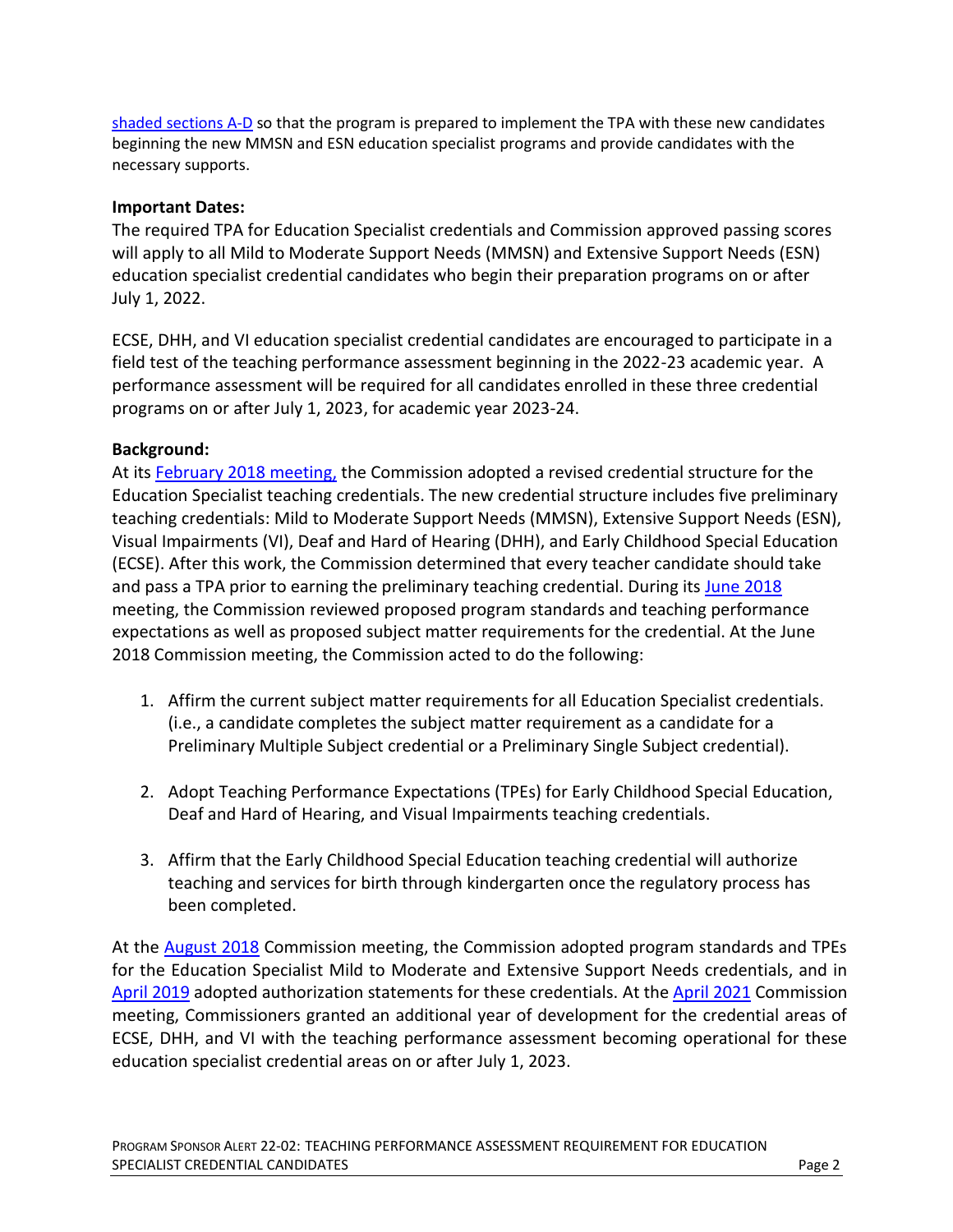[shaded sections A-D](https://www.ctc.ca.gov/docs/default-source/educator-prep/standards/education-specialist-standards-pdf.pdf?sfvrsn=729750b1_45) so that the program is prepared to implement the TPA with these new candidates beginning the new MMSN and ESN education specialist programs and provide candidates with the necessary supports.

## **Important Dates:**

The required TPA for Education Specialist credentials and Commission approved passing scores will apply to all Mild to Moderate Support Needs (MMSN) and Extensive Support Needs (ESN) education specialist credential candidates who begin their preparation programs on or after July 1, 2022.

ECSE, DHH, and VI education specialist credential candidates are encouraged to participate in a field test of the teaching performance assessment beginning in the 2022-23 academic year. A performance assessment will be required for all candidates enrolled in these three credential programs on or after July 1, 2023, for academic year 2023-24.

# **Background:**

At its [February 2018 meeting,](https://www.ctc.ca.gov/docs/default-source/commission/agendas/2018-02/2018-02-4b.pdf?sfvrsn=66b456b1_2) the Commission adopted a revised credential structure for the Education Specialist teaching credentials. The new credential structure includes five preliminary teaching credentials: Mild to Moderate Support Needs (MMSN), Extensive Support Needs (ESN), Visual Impairments (VI), Deaf and Hard of Hearing (DHH), and Early Childhood Special Education (ECSE). After this work, the Commission determined that every teacher candidate should take and pass a TPA prior to earning the preliminary teaching credential. During its [June 2018](https://www.ctc.ca.gov/docs/default-source/commission/agendas/2018-06/2018-06-4g.pdf?sfvrsn=ce1a51b1_2) meeting, the Commission reviewed proposed program standards and teaching performance expectations as well as proposed subject matter requirements for the credential. At the June 2018 Commission meeting, the Commission acted to do the following:

- 1. Affirm the current subject matter requirements for all Education Specialist credentials. (i.e., a candidate completes the subject matter requirement as a candidate for a Preliminary Multiple Subject credential or a Preliminary Single Subject credential).
- 2. Adopt Teaching Performance Expectations (TPEs) for Early Childhood Special Education, Deaf and Hard of Hearing, and Visual Impairments teaching credentials.
- 3. Affirm that the Early Childhood Special Education teaching credential will authorize teaching and services for birth through kindergarten once the regulatory process has been completed.

At the **August 2018** Commission meeting, the Commission adopted program standards and TPEs for the Education Specialist Mild to Moderate and Extensive Support Needs credentials, and in [April 2019](https://www.ctc.ca.gov/docs/default-source/commission/agendas/2019-04/2019-04-4c.pdf?sfvrsn=536f53b1_2) adopted authorization statements for these credentials. At th[e April 2021](https://www.ctc.ca.gov/docs/default-source/commission/agendas/2021-04/2021-04-4b.pdf?sfvrsn=b3382bb1_10) Commission meeting, Commissioners granted an additional year of development for the credential areas of ECSE, DHH, and VI with the teaching performance assessment becoming operational for these education specialist credential areas on or after July 1, 2023.